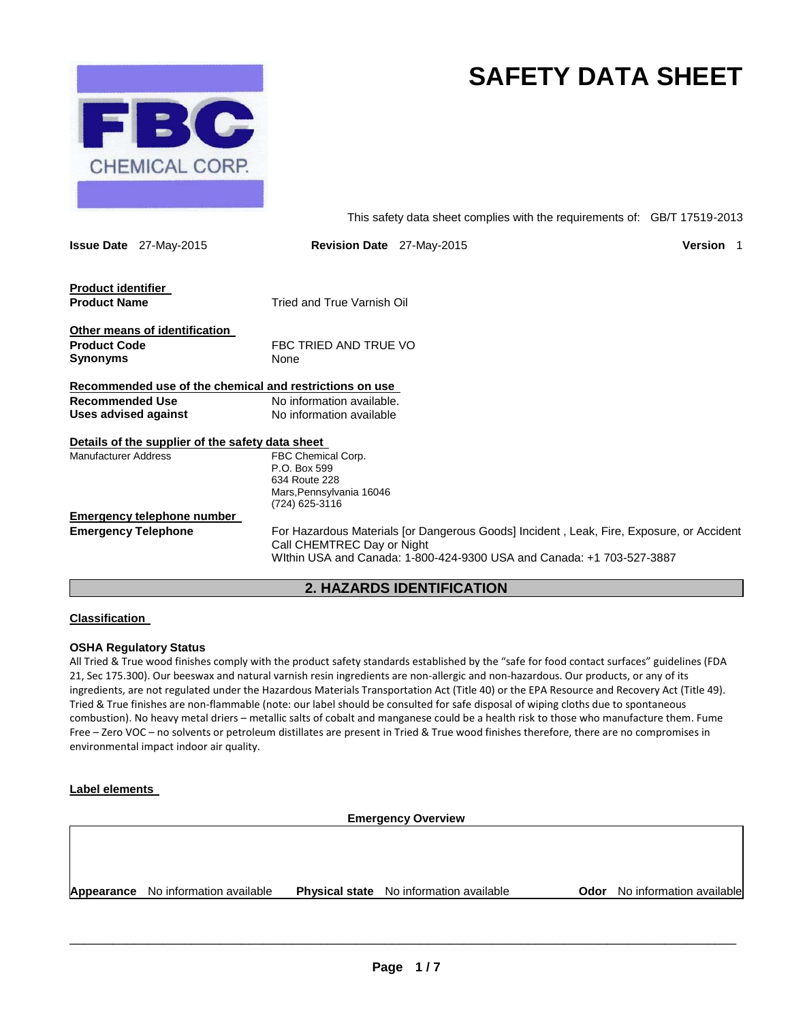

# **SAFETY DATA SHEET**

This safety data sheet complies with the requirements of: GB/T 17519-2013

|                                 | <b>Issue Date</b> 27-May-2015                    | <b>Revision Date</b> 27-May-2015                                                                                                                                                                | Version |
|---------------------------------|--------------------------------------------------|-------------------------------------------------------------------------------------------------------------------------------------------------------------------------------------------------|---------|
| <b>Product identifier</b>       |                                                  |                                                                                                                                                                                                 |         |
| <b>Product Name</b>             |                                                  | Tried and True Varnish Oil                                                                                                                                                                      |         |
|                                 | Other means of identification                    |                                                                                                                                                                                                 |         |
| <b>Product Code</b><br>Synonyms |                                                  | FBC TRIED AND TRUE VO<br>None                                                                                                                                                                   |         |
|                                 |                                                  | Recommended use of the chemical and restrictions on use                                                                                                                                         |         |
| <b>Recommended Use</b>          |                                                  | No information available.                                                                                                                                                                       |         |
| Uses advised against            |                                                  | No information available                                                                                                                                                                        |         |
|                                 | Details of the supplier of the safety data sheet |                                                                                                                                                                                                 |         |
| <b>Manufacturer Address</b>     |                                                  | FBC Chemical Corp.<br>P.O. Box 599<br>634 Route 228<br>Mars, Pennsylvania 16046<br>(724) 625-3116                                                                                               |         |
|                                 | Emergency telephone number                       |                                                                                                                                                                                                 |         |
| <b>Emergency Telephone</b>      |                                                  | For Hazardous Materials for Dangerous Goods] Incident, Leak, Fire, Exposure, or Accident<br>Call CHEMTREC Day or Night<br>Within USA and Canada: 1-800-424-9300 USA and Canada: +1 703-527-3887 |         |

## **2. HAZARDS IDENTIFICATION**

#### **Classification**

#### **OSHA Regulatory Status**

All Tried & True wood finishes comply with the product safety standards established by the "safe for food contact surfaces" guidelines (FDA 21, Sec 175.300). Our beeswax and natural varnish resin ingredients are non-allergic and non-hazardous. Our products, or any of its ingredients, are not regulated under the Hazardous Materials Transportation Act (Title 40) or the EPA Resource and Recovery Act (Title 49). Tried & True finishes are non-flammable (note: our label should be consulted for safe disposal of wiping cloths due to spontaneous combustion). No heavy metal driers – metallic salts of cobalt and manganese could be a health risk to those who manufacture them. Fume Free – Zero VOC – no solvents or petroleum distillates are present in Tried & True wood finishes therefore, there are no compromises in environmental impact indoor air quality.

#### **Label elements**

**Emergency Overview** 

**Appearance** No information available **Physical state** No information available **Odor** No information available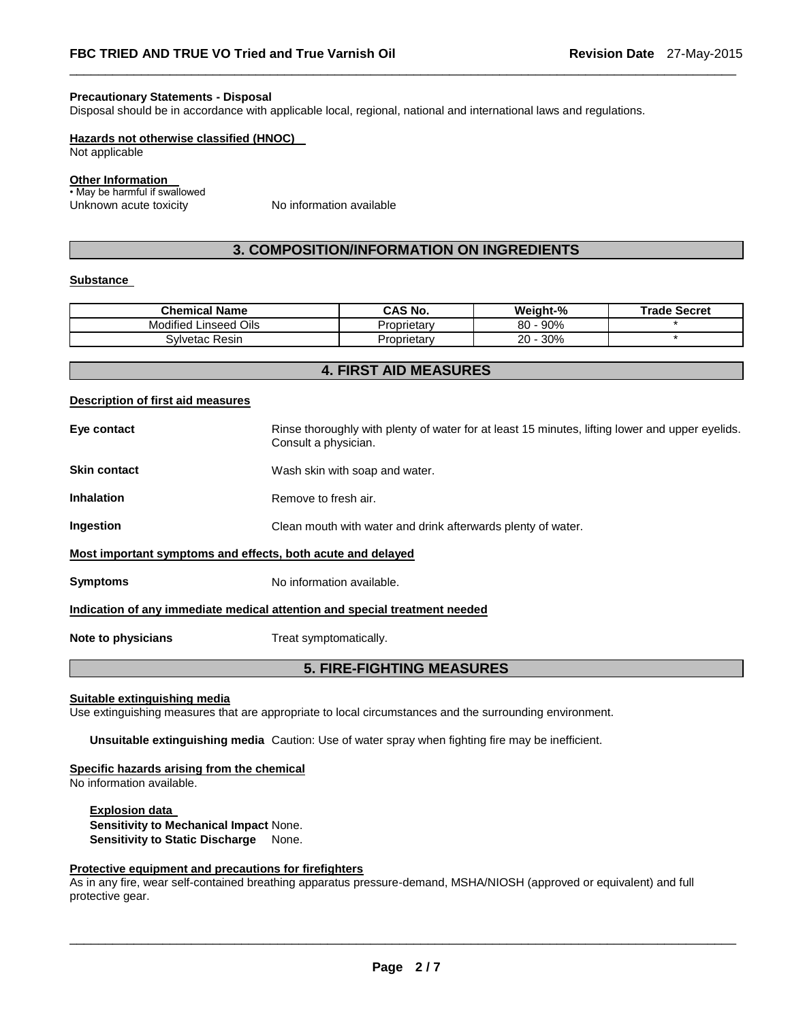#### **Precautionary Statements - Disposal**

Disposal should be in accordance with applicable local, regional, national and international laws and regulations.

#### **Hazards not otherwise classified (HNOC)**

Not applicable

#### **Other Information**

• May be harmful if swallowed Unknown acute toxicity Mo information available

## **3. COMPOSITION/INFORMATION ON INGREDIENTS**

\_\_\_\_\_\_\_\_\_\_\_\_\_\_\_\_\_\_\_\_\_\_\_\_\_\_\_\_\_\_\_\_\_\_\_\_\_\_\_\_\_\_\_\_\_\_\_\_\_\_\_\_\_\_\_\_\_\_\_\_\_\_\_\_\_\_\_\_\_\_\_\_\_\_\_\_\_\_\_\_\_\_\_\_\_\_\_\_\_\_\_\_\_

#### **Substance**

| <b>Chemical Name</b>         | <b>CAS No.</b> | Weight-%  | <b>Trade Secret</b> |
|------------------------------|----------------|-----------|---------------------|
| Linseed Oils<br><br>Modified | Proprietarv    | 90%<br>80 |                     |
| Svlvetac Resin               | Proprietarv    | 30%<br>20 |                     |

## **4. FIRST AID MEASURES**

#### **Description of first aid measures**

| Eye contact                                                                | Rinse thoroughly with plenty of water for at least 15 minutes, lifting lower and upper eyelids.<br>Consult a physician. |  |
|----------------------------------------------------------------------------|-------------------------------------------------------------------------------------------------------------------------|--|
| <b>Skin contact</b>                                                        | Wash skin with soap and water.                                                                                          |  |
| <b>Inhalation</b>                                                          | Remove to fresh air.                                                                                                    |  |
| <b>Ingestion</b>                                                           | Clean mouth with water and drink afterwards plenty of water.                                                            |  |
| Most important symptoms and effects, both acute and delayed                |                                                                                                                         |  |
| <b>Symptoms</b>                                                            | No information available.                                                                                               |  |
| Indication of any immediate medical attention and special treatment needed |                                                                                                                         |  |
| Note to physicians                                                         | Treat symptomatically.                                                                                                  |  |
| <b>5. FIRE-FIGHTING MEASURES</b>                                           |                                                                                                                         |  |

#### **Suitable extinguishing media**

Use extinguishing measures that are appropriate to local circumstances and the surrounding environment.

**Unsuitable extinguishing media** Caution: Use of water spray when fighting fire may be inefficient.

#### **Specific hazards arising from the chemical**

No information available.

**Explosion data Sensitivity to Mechanical Impact** None. **Sensitivity to Static Discharge** None.

#### **Protective equipment and precautions for firefighters**

As in any fire, wear self-contained breathing apparatus pressure-demand, MSHA/NIOSH (approved or equivalent) and full protective gear.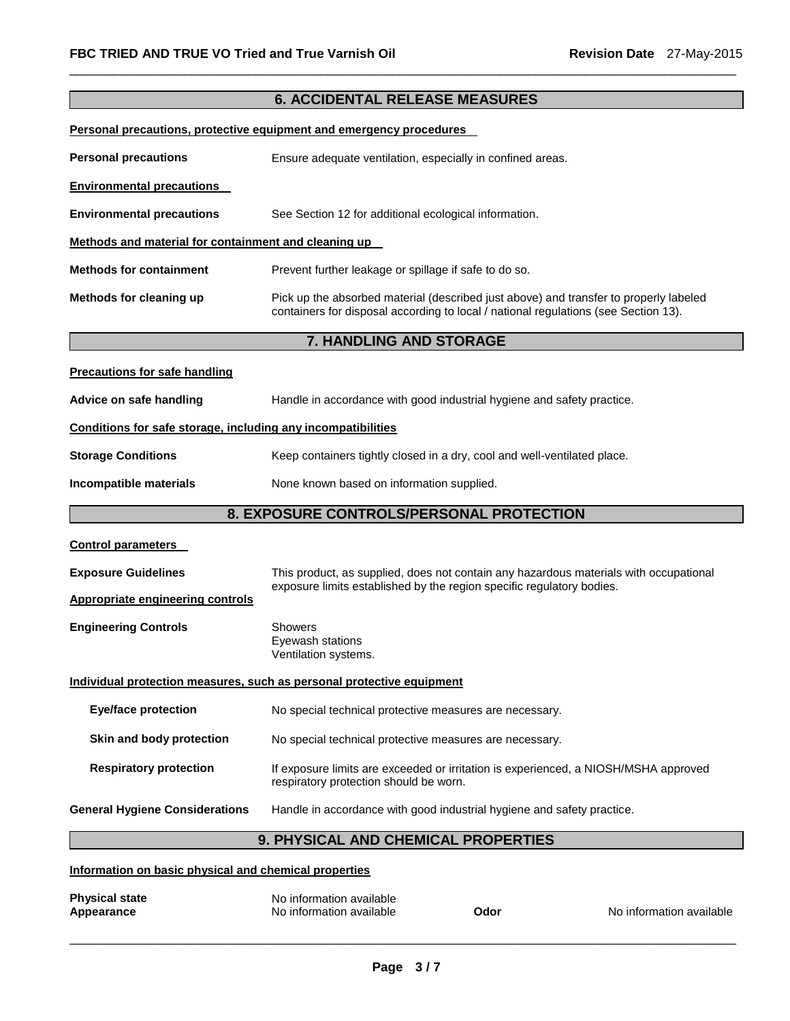## \_\_\_\_\_\_\_\_\_\_\_\_\_\_\_\_\_\_\_\_\_\_\_\_\_\_\_\_\_\_\_\_\_\_\_\_\_\_\_\_\_\_\_\_\_\_\_\_\_\_\_\_\_\_\_\_\_\_\_\_\_\_\_\_\_\_\_\_\_\_\_\_\_\_\_\_\_\_\_\_\_\_\_\_\_\_\_\_\_\_\_\_\_ **6. ACCIDENTAL RELEASE MEASURES Personal precautions, protective equipment and emergency procedures Personal precautions Ensure adequate ventilation, especially in confined areas. Environmental precautions Environmental precautions** See Section 12 for additional ecological information. **Methods and material for containment and cleaning up Methods for containment** Prevent further leakage or spillage if safe to do so. **Methods for cleaning up** Pick up the absorbed material (described just above) and transfer to properly labeled containers for disposal according to local / national regulations (see Section 13). **7. HANDLING AND STORAGE Precautions for safe handling Advice on safe handling** Handle in accordance with good industrial hygiene and safety practice. **Conditions for safe storage, including any incompatibilities Storage Conditions Keep containers tightly closed in a dry, cool and well-ventilated place. Incompatible materials None known based on information supplied. 8. EXPOSURE CONTROLS/PERSONAL PROTECTION Control parameters Exposure Guidelines** This product, as supplied, does not contain any hazardous materials with occupational exposure limits established by the region specific regulatory bodies. **Appropriate engineering controls Engineering Controls Showers** Eyewash stations Ventilation systems. **Individual protection measures, such as personal protective equipment Eye/face protection** No special technical protective measures are necessary. **Skin and body protection** No special technical protective measures are necessary. **Respiratory protection** If exposure limits are exceeded or irritation is experienced, a NIOSH/MSHA approved respiratory protection should be worn. **General Hygiene Considerations** Handle in accordance with good industrial hygiene and safety practice. **9. PHYSICAL AND CHEMICAL PROPERTIES Information on basic physical and chemical properties**

| <b>Physical state</b> | No information available |      |                          |
|-----------------------|--------------------------|------|--------------------------|
| Appearance            | No information available | Odor | No information available |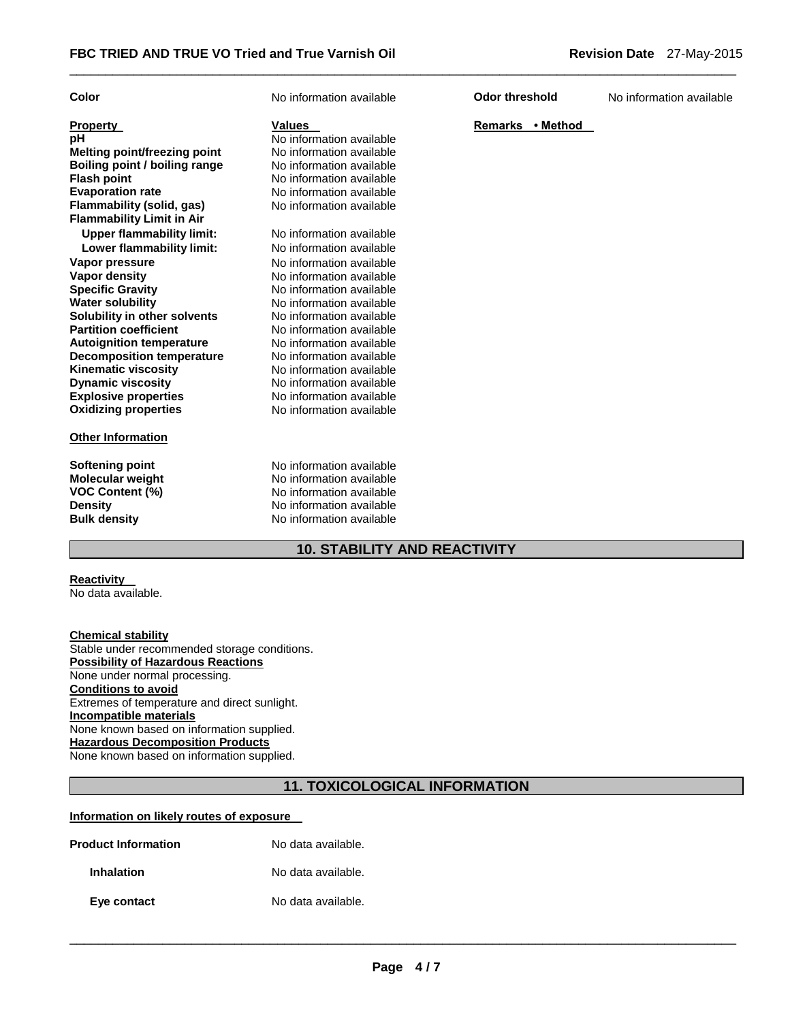| Color                               | No information available | <b>Odor threshold</b> | No information available |
|-------------------------------------|--------------------------|-----------------------|--------------------------|
| <b>Property</b>                     | Values                   | Remarks • Method      |                          |
| pH                                  | No information available |                       |                          |
| <b>Melting point/freezing point</b> | No information available |                       |                          |
| Boiling point / boiling range       | No information available |                       |                          |
| <b>Flash point</b>                  | No information available |                       |                          |
| <b>Evaporation rate</b>             | No information available |                       |                          |
| Flammability (solid, gas)           | No information available |                       |                          |
| <b>Flammability Limit in Air</b>    |                          |                       |                          |
| <b>Upper flammability limit:</b>    | No information available |                       |                          |
| Lower flammability limit:           | No information available |                       |                          |
| Vapor pressure                      | No information available |                       |                          |
| <b>Vapor density</b>                | No information available |                       |                          |
| <b>Specific Gravity</b>             | No information available |                       |                          |
| <b>Water solubility</b>             | No information available |                       |                          |
| Solubility in other solvents        | No information available |                       |                          |
| <b>Partition coefficient</b>        | No information available |                       |                          |
| <b>Autoignition temperature</b>     | No information available |                       |                          |
| <b>Decomposition temperature</b>    | No information available |                       |                          |
| <b>Kinematic viscosity</b>          | No information available |                       |                          |
| <b>Dynamic viscosity</b>            | No information available |                       |                          |
| <b>Explosive properties</b>         | No information available |                       |                          |
| <b>Oxidizing properties</b>         | No information available |                       |                          |
| <b>Other Information</b>            |                          |                       |                          |
| Softening point                     | No information available |                       |                          |
| <b>Molecular weight</b>             | No information available |                       |                          |
| <b>VOC Content (%)</b>              | No information available |                       |                          |
| <b>Density</b>                      | No information available |                       |                          |
| <b>Bulk density</b>                 | No information available |                       |                          |

\_\_\_\_\_\_\_\_\_\_\_\_\_\_\_\_\_\_\_\_\_\_\_\_\_\_\_\_\_\_\_\_\_\_\_\_\_\_\_\_\_\_\_\_\_\_\_\_\_\_\_\_\_\_\_\_\_\_\_\_\_\_\_\_\_\_\_\_\_\_\_\_\_\_\_\_\_\_\_\_\_\_\_\_\_\_\_\_\_\_\_\_\_

## **10. STABILITY AND REACTIVITY**

## **Reactivity**

No data available.

#### **Chemical stability** Stable under recommended storage conditions.

**Possibility of Hazardous Reactions** None under normal processing. **Conditions to avoid** Extremes of temperature and direct sunlight. **Incompatible materials** None known based on information supplied. **Hazardous Decomposition Products** None known based on information supplied.

## **11. TOXICOLOGICAL INFORMATION**

#### **Information on likely routes of exposure**

| <b>Product Information</b> | No data available. |
|----------------------------|--------------------|
| <b>Inhalation</b>          | No data available. |
| Eye contact                | No data available. |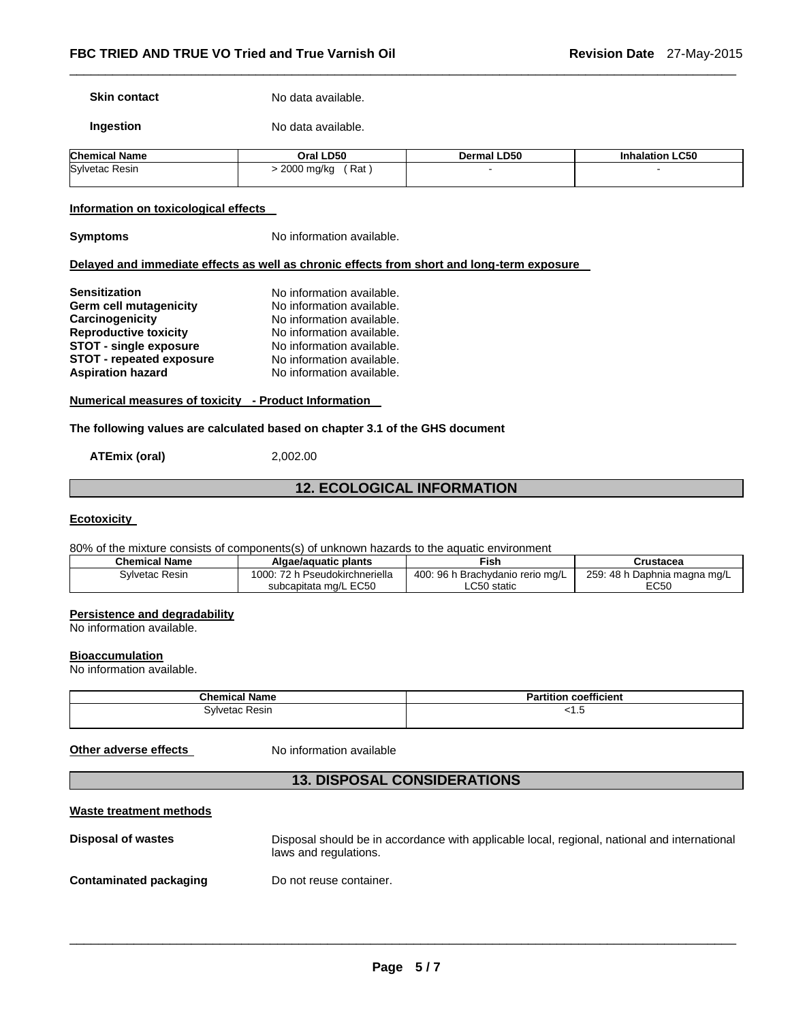**Skin contact** No data available.

**Ingestion No data available.** 

| <b>Chemical Name</b>  | Oral LD50         | Dermal LD50 | <b>Inhalation LC50</b> |
|-----------------------|-------------------|-------------|------------------------|
| <b>Sylvetac Resin</b> | Rat<br>2000 mg/kg |             |                        |

\_\_\_\_\_\_\_\_\_\_\_\_\_\_\_\_\_\_\_\_\_\_\_\_\_\_\_\_\_\_\_\_\_\_\_\_\_\_\_\_\_\_\_\_\_\_\_\_\_\_\_\_\_\_\_\_\_\_\_\_\_\_\_\_\_\_\_\_\_\_\_\_\_\_\_\_\_\_\_\_\_\_\_\_\_\_\_\_\_\_\_\_\_

#### **Information on toxicological effects**

**Symptoms No information available.** 

#### **Delayed and immediate effects as well as chronic effects from short and long-term exposure**

| <b>Sensitization</b>            | No information available. |
|---------------------------------|---------------------------|
| Germ cell mutagenicity          | No information available. |
| Carcinogenicity                 | No information available. |
| <b>Reproductive toxicity</b>    | No information available. |
| <b>STOT - single exposure</b>   | No information available. |
| <b>STOT - repeated exposure</b> | No information available. |
| <b>Aspiration hazard</b>        | No information available. |

**Numerical measures of toxicity - Product Information** 

#### **The following values are calculated based on chapter 3.1 of the GHS document**

**ATEmix (oral)** 2,002.00

#### **12. ECOLOGICAL INFORMATION**

#### **Ecotoxicity**

80% of the mixture consists of components(s) of unknown hazards to the aquatic environment

| <b>Chemical Name</b> | Algae/aguatic plants           | Fish.                            | Crustacea                    |
|----------------------|--------------------------------|----------------------------------|------------------------------|
| Sylvetac Resin       | 1000: 72 h Pseudokirchneriella | 400: 96 h Brachydanio rerio mg/L | 259: 48 h Daphnia magna mg/L |
|                      | subcapitata mg/L EC50          | ∟C50 static                      | EC50                         |

#### **Persistence and degradability**

No information available.

#### **Bioaccumulation**

No information available.

| <b>Chemical Name</b> | coefficient<br>artition<br>۰۰- ت |
|----------------------|----------------------------------|
| Resin<br>∋vlvetac    | ט.ו                              |

**Other adverse effects** No information available

### **13. DISPOSAL CONSIDERATIONS**

#### **Waste treatment methods**

| Disposal of wastes     | Disposal should be in accordance with applicable local, regional, national and international<br>laws and regulations. |
|------------------------|-----------------------------------------------------------------------------------------------------------------------|
| Contaminated packaging | Do not reuse container.                                                                                               |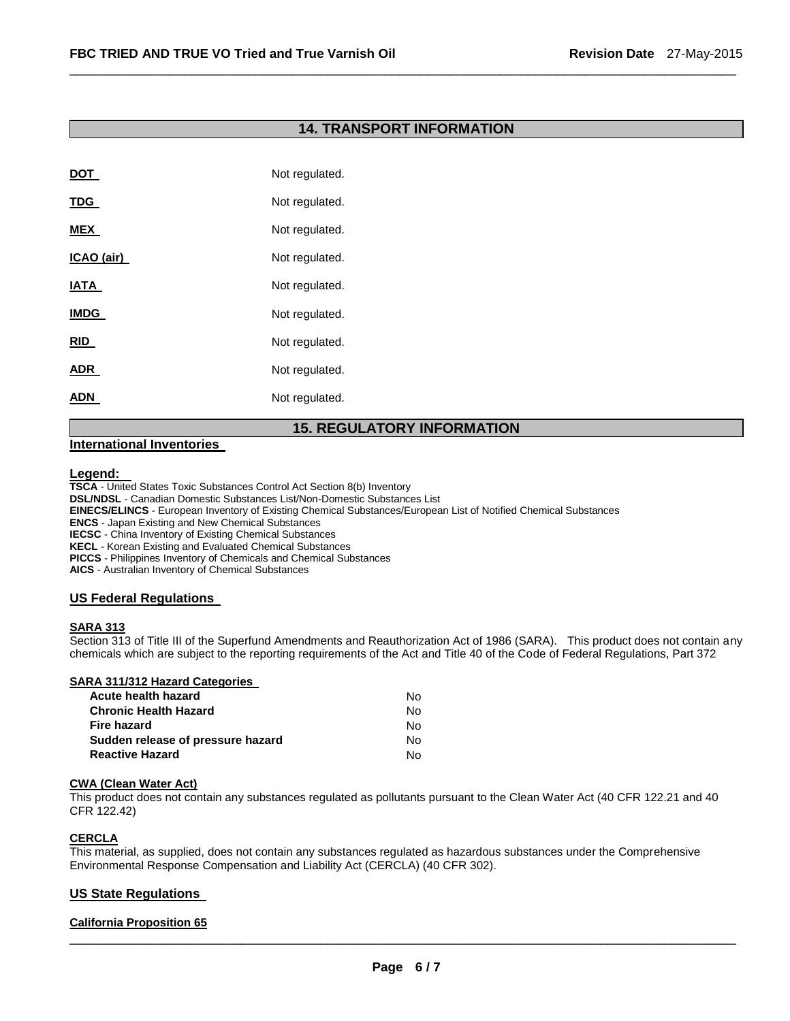## **14. TRANSPORT INFORMATION**

\_\_\_\_\_\_\_\_\_\_\_\_\_\_\_\_\_\_\_\_\_\_\_\_\_\_\_\_\_\_\_\_\_\_\_\_\_\_\_\_\_\_\_\_\_\_\_\_\_\_\_\_\_\_\_\_\_\_\_\_\_\_\_\_\_\_\_\_\_\_\_\_\_\_\_\_\_\_\_\_\_\_\_\_\_\_\_\_\_\_\_\_\_

| <b>DOT</b>  | Not regulated. |
|-------------|----------------|
| <b>TDG</b>  | Not regulated. |
| <b>MEX</b>  | Not regulated. |
| ICAO (air)  | Not regulated. |
| IATA        | Not regulated. |
| <b>IMDG</b> | Not regulated. |
| RID         | Not regulated. |
| <b>ADR</b>  | Not regulated. |
| ADN         | Not regulated. |

## **15. REGULATORY INFORMATION**

#### **International Inventories**

#### **Legend:**

**TSCA** - United States Toxic Substances Control Act Section 8(b) Inventory

**DSL/NDSL** - Canadian Domestic Substances List/Non-Domestic Substances List

**EINECS/ELINCS** - European Inventory of Existing Chemical Substances/European List of Notified Chemical Substances

**ENCS** - Japan Existing and New Chemical Substances

**IECSC** - China Inventory of Existing Chemical Substances

**KECL** - Korean Existing and Evaluated Chemical Substances

**PICCS** - Philippines Inventory of Chemicals and Chemical Substances

**AICS** - Australian Inventory of Chemical Substances

#### **US Federal Regulations**

#### **SARA 313**

Section 313 of Title III of the Superfund Amendments and Reauthorization Act of 1986 (SARA). This product does not contain any chemicals which are subject to the reporting requirements of the Act and Title 40 of the Code of Federal Regulations, Part 372

#### **SARA 311/312 Hazard Categories**

| Acute health hazard               | No. |
|-----------------------------------|-----|
| Chronic Health Hazard             | N٥  |
| Fire hazard                       | No. |
| Sudden release of pressure hazard | No. |
| Reactive Hazard                   | N٥. |

#### **CWA (Clean Water Act)**

This product does not contain any substances regulated as pollutants pursuant to the Clean Water Act (40 CFR 122.21 and 40 CFR 122.42)

#### **CERCLA**

This material, as supplied, does not contain any substances regulated as hazardous substances under the Comprehensive Environmental Response Compensation and Liability Act (CERCLA) (40 CFR 302).

#### **US State Regulations**

#### **California Proposition 65**